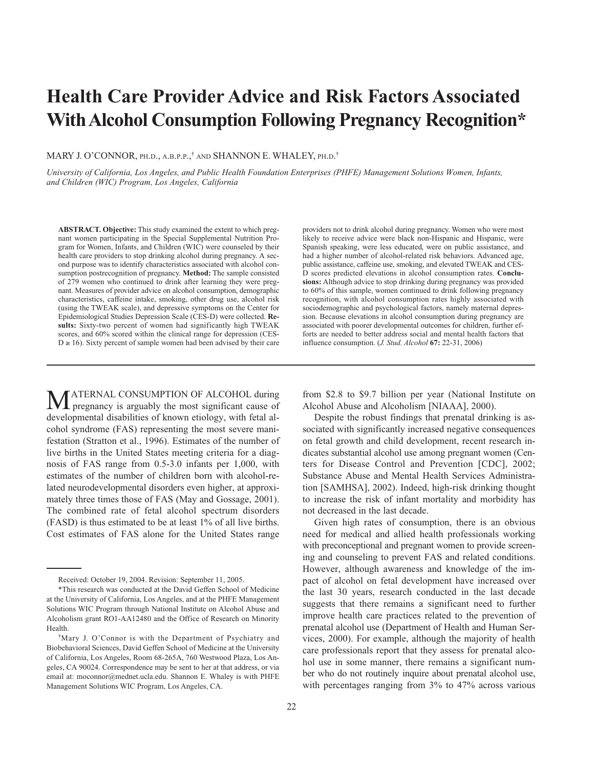# **Health Care Provider Advice and Risk Factors Associated With Alcohol Consumption Following Pregnancy Recognition\***

MARY J. O'CONNOR, PH.D., A.B.P.P.,† AND SHANNON E. WHALEY, PH.D. †

*University of California, Los Angeles, and Public Health Foundation Enterprises (PHFE) Management Solutions Women, Infants, and Children (WIC) Program, Los Angeles, California*

**ABSTRACT. Objective:** This study examined the extent to which pregnant women participating in the Special Supplemental Nutrition Program for Women, Infants, and Children (WIC) were counseled by their health care providers to stop drinking alcohol during pregnancy. A second purpose was to identify characteristics associated with alcohol consumption postrecognition of pregnancy. **Method:** The sample consisted of 279 women who continued to drink after learning they were pregnant. Measures of provider advice on alcohol consumption, demographic characteristics, caffeine intake, smoking, other drug use, alcohol risk (using the TWEAK scale), and depressive symptoms on the Center for Epidemiological Studies Depression Scale (CES-D) were collected. **Results:** Sixty-two percent of women had significantly high TWEAK scores, and 60% scored within the clinical range for depression (CES- $D \ge 16$ ). Sixty percent of sample women had been advised by their care

MATERNAL CONSUMPTION OF ALCOHOL during<br>pregnancy is arguably the most significant cause of developmental disabilities of known etiology, with fetal alcohol syndrome (FAS) representing the most severe manifestation (Stratton et al., 1996). Estimates of the number of live births in the United States meeting criteria for a diagnosis of FAS range from 0.5-3.0 infants per 1,000, with estimates of the number of children born with alcohol-related neurodevelopmental disorders even higher, at approximately three times those of FAS (May and Gossage, 2001). The combined rate of fetal alcohol spectrum disorders (FASD) is thus estimated to be at least 1% of all live births. Cost estimates of FAS alone for the United States range

providers not to drink alcohol during pregnancy. Women who were most likely to receive advice were black non-Hispanic and Hispanic, were Spanish speaking, were less educated, were on public assistance, and had a higher number of alcohol-related risk behaviors. Advanced age, public assistance, caffeine use, smoking, and elevated TWEAK and CES-D scores predicted elevations in alcohol consumption rates. **Conclusions:** Although advice to stop drinking during pregnancy was provided to 60% of this sample, women continued to drink following pregnancy recognition, with alcohol consumption rates highly associated with sociodemographic and psychological factors, namely maternal depression. Because elevations in alcohol consumption during pregnancy are associated with poorer developmental outcomes for children, further efforts are needed to better address social and mental health factors that influence consumption. (*J. Stud. Alcohol* **67:** 22-31, 2006)

from \$2.8 to \$9.7 billion per year (National Institute on Alcohol Abuse and Alcoholism [NIAAA], 2000).

Despite the robust findings that prenatal drinking is associated with significantly increased negative consequences on fetal growth and child development, recent research indicates substantial alcohol use among pregnant women (Centers for Disease Control and Prevention [CDC], 2002; Substance Abuse and Mental Health Services Administration [SAMHSA], 2002). Indeed, high-risk drinking thought to increase the risk of infant mortality and morbidity has not decreased in the last decade.

Given high rates of consumption, there is an obvious need for medical and allied health professionals working with preconceptional and pregnant women to provide screening and counseling to prevent FAS and related conditions. However, although awareness and knowledge of the impact of alcohol on fetal development have increased over the last 30 years, research conducted in the last decade suggests that there remains a significant need to further improve health care practices related to the prevention of prenatal alcohol use (Department of Health and Human Services, 2000). For example, although the majority of health care professionals report that they assess for prenatal alcohol use in some manner, there remains a significant number who do not routinely inquire about prenatal alcohol use, with percentages ranging from 3% to 47% across various

Received: October 19, 2004. Revision: September 11, 2005.

<sup>\*</sup>This research was conducted at the David Geffen School of Medicine at the University of California, Los Angeles, and at the PHFE Management Solutions WIC Program through National Institute on Alcohol Abuse and Alcoholism grant RO1-AA12480 and the Office of Research on Minority **Health** 

<sup>†</sup>Mary J. O'Connor is with the Department of Psychiatry and Biobehavioral Sciences, David Geffen School of Medicine at the University of California, Los Angeles, Room 68-265A, 760 Westwood Plaza, Los Angeles, CA 90024. Correspondence may be sent to her at that address, or via email at: moconnor@mednet.ucla.edu. Shannon E. Whaley is with PHFE Management Solutions WIC Program, Los Angeles, CA.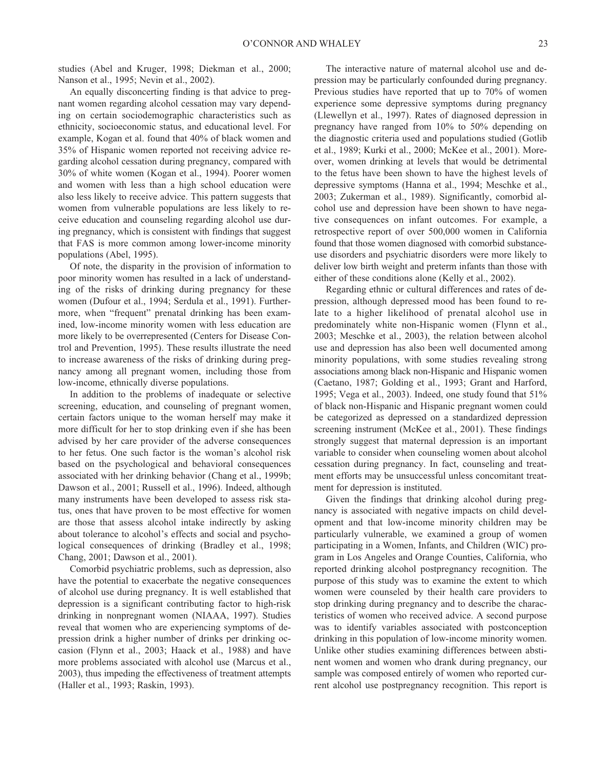studies (Abel and Kruger, 1998; Diekman et al., 2000; Nanson et al., 1995; Nevin et al., 2002).

An equally disconcerting finding is that advice to pregnant women regarding alcohol cessation may vary depending on certain sociodemographic characteristics such as ethnicity, socioeconomic status, and educational level. For example, Kogan et al. found that 40% of black women and 35% of Hispanic women reported not receiving advice regarding alcohol cessation during pregnancy, compared with 30% of white women (Kogan et al., 1994). Poorer women and women with less than a high school education were also less likely to receive advice. This pattern suggests that women from vulnerable populations are less likely to receive education and counseling regarding alcohol use during pregnancy, which is consistent with findings that suggest that FAS is more common among lower-income minority populations (Abel, 1995).

Of note, the disparity in the provision of information to poor minority women has resulted in a lack of understanding of the risks of drinking during pregnancy for these women (Dufour et al., 1994; Serdula et al., 1991). Furthermore, when "frequent" prenatal drinking has been examined, low-income minority women with less education are more likely to be overrepresented (Centers for Disease Control and Prevention, 1995). These results illustrate the need to increase awareness of the risks of drinking during pregnancy among all pregnant women, including those from low-income, ethnically diverse populations.

In addition to the problems of inadequate or selective screening, education, and counseling of pregnant women, certain factors unique to the woman herself may make it more difficult for her to stop drinking even if she has been advised by her care provider of the adverse consequences to her fetus. One such factor is the woman's alcohol risk based on the psychological and behavioral consequences associated with her drinking behavior (Chang et al., 1999b; Dawson et al., 2001; Russell et al., 1996). Indeed, although many instruments have been developed to assess risk status, ones that have proven to be most effective for women are those that assess alcohol intake indirectly by asking about tolerance to alcohol's effects and social and psychological consequences of drinking (Bradley et al., 1998; Chang, 2001; Dawson et al., 2001).

Comorbid psychiatric problems, such as depression, also have the potential to exacerbate the negative consequences of alcohol use during pregnancy. It is well established that depression is a significant contributing factor to high-risk drinking in nonpregnant women (NIAAA, 1997). Studies reveal that women who are experiencing symptoms of depression drink a higher number of drinks per drinking occasion (Flynn et al., 2003; Haack et al., 1988) and have more problems associated with alcohol use (Marcus et al., 2003), thus impeding the effectiveness of treatment attempts (Haller et al., 1993; Raskin, 1993).

The interactive nature of maternal alcohol use and depression may be particularly confounded during pregnancy. Previous studies have reported that up to 70% of women experience some depressive symptoms during pregnancy (Llewellyn et al., 1997). Rates of diagnosed depression in pregnancy have ranged from 10% to 50% depending on the diagnostic criteria used and populations studied (Gotlib et al., 1989; Kurki et al., 2000; McKee et al., 2001). Moreover, women drinking at levels that would be detrimental to the fetus have been shown to have the highest levels of depressive symptoms (Hanna et al., 1994; Meschke et al., 2003; Zukerman et al., 1989). Significantly, comorbid alcohol use and depression have been shown to have negative consequences on infant outcomes. For example, a retrospective report of over 500,000 women in California found that those women diagnosed with comorbid substanceuse disorders and psychiatric disorders were more likely to deliver low birth weight and preterm infants than those with either of these conditions alone (Kelly et al., 2002).

Regarding ethnic or cultural differences and rates of depression, although depressed mood has been found to relate to a higher likelihood of prenatal alcohol use in predominately white non-Hispanic women (Flynn et al., 2003; Meschke et al., 2003), the relation between alcohol use and depression has also been well documented among minority populations, with some studies revealing strong associations among black non-Hispanic and Hispanic women (Caetano, 1987; Golding et al., 1993; Grant and Harford, 1995; Vega et al., 2003). Indeed, one study found that 51% of black non-Hispanic and Hispanic pregnant women could be categorized as depressed on a standardized depression screening instrument (McKee et al., 2001). These findings strongly suggest that maternal depression is an important variable to consider when counseling women about alcohol cessation during pregnancy. In fact, counseling and treatment efforts may be unsuccessful unless concomitant treatment for depression is instituted.

Given the findings that drinking alcohol during pregnancy is associated with negative impacts on child development and that low-income minority children may be particularly vulnerable, we examined a group of women participating in a Women, Infants, and Children (WIC) program in Los Angeles and Orange Counties, California, who reported drinking alcohol postpregnancy recognition. The purpose of this study was to examine the extent to which women were counseled by their health care providers to stop drinking during pregnancy and to describe the characteristics of women who received advice. A second purpose was to identify variables associated with postconception drinking in this population of low-income minority women. Unlike other studies examining differences between abstinent women and women who drank during pregnancy, our sample was composed entirely of women who reported current alcohol use postpregnancy recognition. This report is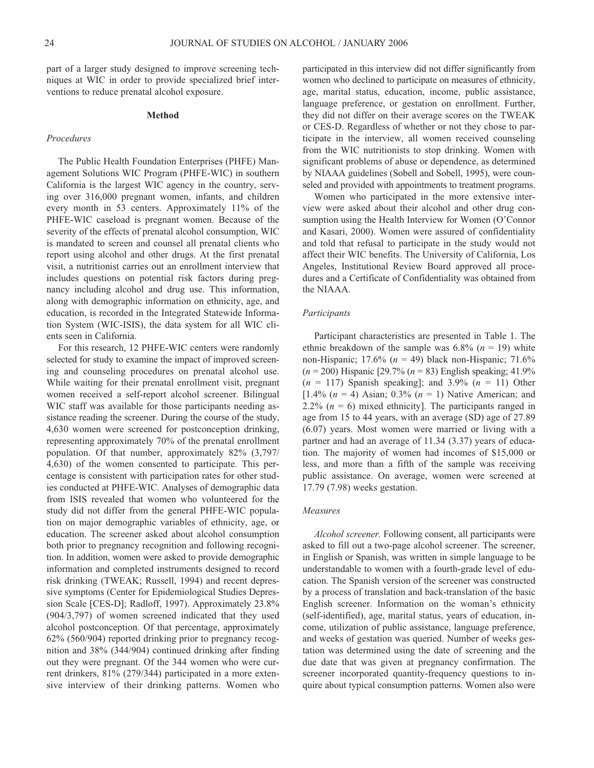part of a larger study designed to improve screening techniques at WIC in order to provide specialized brief interventions to reduce prenatal alcohol exposure.

#### **Method**

## *Procedures*

The Public Health Foundation Enterprises (PHFE) Management Solutions WIC Program (PHFE-WIC) in southern California is the largest WIC agency in the country, serving over 316,000 pregnant women, infants, and children every month in 53 centers. Approximately 11% of the PHFE-WIC caseload is pregnant women. Because of the severity of the effects of prenatal alcohol consumption, WIC is mandated to screen and counsel all prenatal clients who report using alcohol and other drugs. At the first prenatal visit, a nutritionist carries out an enrollment interview that includes questions on potential risk factors during pregnancy including alcohol and drug use. This information, along with demographic information on ethnicity, age, and education, is recorded in the Integrated Statewide Information System (WIC-ISIS), the data system for all WIC clients seen in California.

For this research, 12 PHFE-WIC centers were randomly selected for study to examine the impact of improved screening and counseling procedures on prenatal alcohol use. While waiting for their prenatal enrollment visit, pregnant women received a self-report alcohol screener. Bilingual WIC staff was available for those participants needing assistance reading the screener. During the course of the study, 4,630 women were screened for postconception drinking, representing approximately 70% of the prenatal enrollment population. Of that number, approximately 82% (3,797/ 4,630) of the women consented to participate. This percentage is consistent with participation rates for other studies conducted at PHFE-WIC. Analyses of demographic data from ISIS revealed that women who volunteered for the study did not differ from the general PHFE-WIC population on major demographic variables of ethnicity, age, or education. The screener asked about alcohol consumption both prior to pregnancy recognition and following recognition. In addition, women were asked to provide demographic information and completed instruments designed to record risk drinking (TWEAK; Russell, 1994) and recent depressive symptoms (Center for Epidemiological Studies Depression Scale [CES-D]; Radloff, 1997). Approximately 23.8% (904/3,797) of women screened indicated that they used alcohol postconception. Of that percentage, approximately 62% (560/904) reported drinking prior to pregnancy recognition and 38% (344/904) continued drinking after finding out they were pregnant. Of the 344 women who were current drinkers, 81% (279/344) participated in a more extensive interview of their drinking patterns. Women who

participated in this interview did not differ significantly from women who declined to participate on measures of ethnicity, age, marital status, education, income, public assistance, language preference, or gestation on enrollment. Further, they did not differ on their average scores on the TWEAK or CES-D. Regardless of whether or not they chose to participate in the interview, all women received counseling from the WIC nutritionists to stop drinking. Women with significant problems of abuse or dependence, as determined by NIAAA guidelines (Sobell and Sobell, 1995), were counseled and provided with appointments to treatment programs.

Women who participated in the more extensive interview were asked about their alcohol and other drug consumption using the Health Interview for Women (O'Connor and Kasari, 2000). Women were assured of confidentiality and told that refusal to participate in the study would not affect their WIC benefits. The University of California, Los Angeles, Institutional Review Board approved all procedures and a Certificate of Confidentiality was obtained from the NIAAA.

## *Participants*

Participant characteristics are presented in Table 1. The ethnic breakdown of the sample was  $6.8\%$  ( $n = 19$ ) white non-Hispanic; 17.6% (*n* = 49) black non-Hispanic; 71.6% (*n* = 200) Hispanic [29.7% (*n* = 83) English speaking; 41.9% (*n* = 117) Spanish speaking]; and 3.9% (*n* = 11) Other [1.4% (*n* = 4) Asian; 0.3% (*n* = 1) Native American; and 2.2%  $(n = 6)$  mixed ethnicity]. The participants ranged in age from 15 to 44 years, with an average (SD) age of 27.89 (6.07) years. Most women were married or living with a partner and had an average of 11.34 (3.37) years of education. The majority of women had incomes of \$15,000 or less, and more than a fifth of the sample was receiving public assistance. On average, women were screened at 17.79 (7.98) weeks gestation.

#### *Measures*

*Alcohol screener.* Following consent, all participants were asked to fill out a two-page alcohol screener. The screener, in English or Spanish, was written in simple language to be understandable to women with a fourth-grade level of education. The Spanish version of the screener was constructed by a process of translation and back-translation of the basic English screener. Information on the woman's ethnicity (self-identified), age, marital status, years of education, income, utilization of public assistance, language preference, and weeks of gestation was queried. Number of weeks gestation was determined using the date of screening and the due date that was given at pregnancy confirmation. The screener incorporated quantity-frequency questions to inquire about typical consumption patterns. Women also were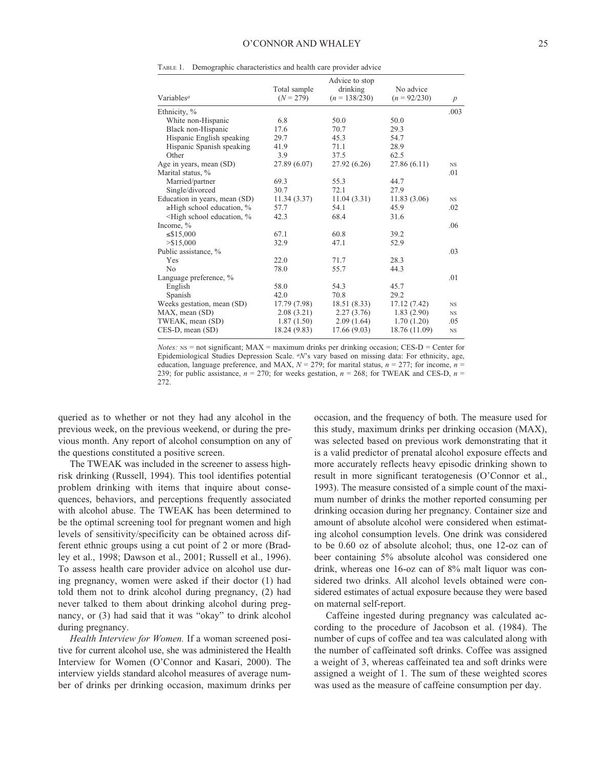|                                    | Advice to stop |                 |                |                  |  |
|------------------------------------|----------------|-----------------|----------------|------------------|--|
|                                    | Total sample   | drinking        | No advice      |                  |  |
| Variables <sup>a</sup>             | $(N = 279)$    | $(n = 138/230)$ | $(n = 92/230)$ | $\boldsymbol{p}$ |  |
| Ethnicity, %                       |                |                 |                | .003             |  |
| White non-Hispanic                 | 6.8            | 50.0            | 50.0           |                  |  |
| Black non-Hispanic                 | 17.6           | 70.7            | 29.3           |                  |  |
| Hispanic English speaking          | 29.7           | 45.3            | 54.7           |                  |  |
| Hispanic Spanish speaking          | 41.9           | 71.1            | 28.9           |                  |  |
| Other                              | 3.9            | 37.5            | 62.5           |                  |  |
| Age in years, mean (SD)            | 27.89 (6.07)   | 27.92 (6.26)    | 27.86 (6.11)   | $_{\rm NS}$      |  |
| Marital status, %                  |                |                 |                | .01              |  |
| Married/partner                    | 69.3           | 55.3            | 44.7           |                  |  |
| Single/divorced                    | 30.7           | 72.1            | 27.9           |                  |  |
| Education in years, mean (SD)      | 11.34(3.37)    | 11.04(3.31)     | 11.83 (3.06)   | <b>NS</b>        |  |
| $\geq$ High school education, %    | 57.7           | 54.1            | 45.9           | .02              |  |
| $\leq$ High school education, $\%$ | 42.3           | 68.4            | 31.6           |                  |  |
| Income, $\%$                       |                |                 |                | .06              |  |
| ≤\$15,000                          | 67.1           | 60.8            | 39.2           |                  |  |
| $>$ \$15,000                       | 32.9           | 47.1            | 52.9           |                  |  |
| Public assistance, %               |                |                 |                | .03              |  |
| Yes                                | 22.0           | 71.7            | 28.3           |                  |  |
| N <sub>0</sub>                     | 78.0           | 55.7            | 44.3           |                  |  |
| Language preference, %             |                |                 |                | .01              |  |
| English                            | 58.0           | 54.3            | 45.7           |                  |  |
| Spanish                            | 42.0           | 70.8            | 29.2           |                  |  |
| Weeks gestation, mean (SD)         | 17.79 (7.98)   | 18.51(8.33)     | 17.12 (7.42)   | $_{\rm NS}$      |  |
| MAX, mean (SD)                     | 2.08(3.21)     | 2.27(3.76)      | 1.83(2.90)     | $_{\rm NS}$      |  |
| TWEAK, mean (SD)                   | 1.87(1.50)     | 2.09(1.64)      | 1.70(1.20)     | .05              |  |
| CES-D, mean (SD)                   | 18.24 (9.83)   | 17.66 (9.03)    | 18.76 (11.09)  | $_{\rm NS}$      |  |

TABLE 1. Demographic characteristics and health care provider advice

*Notes:*  $ns = not significant; MAX = maximum drinks per drinking occasion; CES-D = Center for$ Epidemiological Studies Depression Scale. *aN*'s vary based on missing data: For ethnicity, age, education, language preference, and MAX,  $N = 279$ ; for marital status,  $n = 277$ ; for income,  $n =$ 239; for public assistance,  $n = 270$ ; for weeks gestation,  $n = 268$ ; for TWEAK and CES-D,  $n =$ 272.

queried as to whether or not they had any alcohol in the previous week, on the previous weekend, or during the previous month. Any report of alcohol consumption on any of the questions constituted a positive screen.

The TWEAK was included in the screener to assess highrisk drinking (Russell, 1994). This tool identifies potential problem drinking with items that inquire about consequences, behaviors, and perceptions frequently associated with alcohol abuse. The TWEAK has been determined to be the optimal screening tool for pregnant women and high levels of sensitivity/specificity can be obtained across different ethnic groups using a cut point of 2 or more (Bradley et al., 1998; Dawson et al., 2001; Russell et al., 1996). To assess health care provider advice on alcohol use during pregnancy, women were asked if their doctor (1) had told them not to drink alcohol during pregnancy, (2) had never talked to them about drinking alcohol during pregnancy, or (3) had said that it was "okay" to drink alcohol during pregnancy.

*Health Interview for Women.* If a woman screened positive for current alcohol use, she was administered the Health Interview for Women (O'Connor and Kasari, 2000). The interview yields standard alcohol measures of average number of drinks per drinking occasion, maximum drinks per occasion, and the frequency of both. The measure used for this study, maximum drinks per drinking occasion (MAX), was selected based on previous work demonstrating that it is a valid predictor of prenatal alcohol exposure effects and more accurately reflects heavy episodic drinking shown to result in more significant teratogenesis (O'Connor et al., 1993). The measure consisted of a simple count of the maximum number of drinks the mother reported consuming per drinking occasion during her pregnancy. Container size and amount of absolute alcohol were considered when estimating alcohol consumption levels. One drink was considered to be 0.60 oz of absolute alcohol; thus, one 12-oz can of beer containing 5% absolute alcohol was considered one drink, whereas one 16-oz can of 8% malt liquor was considered two drinks. All alcohol levels obtained were considered estimates of actual exposure because they were based on maternal self-report.

Caffeine ingested during pregnancy was calculated according to the procedure of Jacobson et al. (1984). The number of cups of coffee and tea was calculated along with the number of caffeinated soft drinks. Coffee was assigned a weight of 3, whereas caffeinated tea and soft drinks were assigned a weight of 1. The sum of these weighted scores was used as the measure of caffeine consumption per day.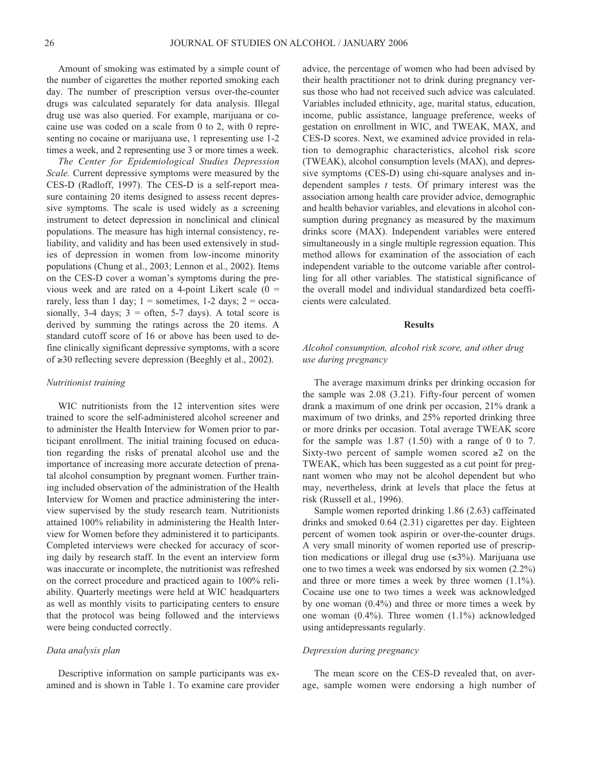Amount of smoking was estimated by a simple count of the number of cigarettes the mother reported smoking each day. The number of prescription versus over-the-counter drugs was calculated separately for data analysis. Illegal drug use was also queried. For example, marijuana or cocaine use was coded on a scale from 0 to 2, with 0 representing no cocaine or marijuana use, 1 representing use 1-2 times a week, and 2 representing use 3 or more times a week.

*The Center for Epidemiological Studies Depression Scale.* Current depressive symptoms were measured by the CES-D (Radloff, 1997). The CES-D is a self-report measure containing 20 items designed to assess recent depressive symptoms. The scale is used widely as a screening instrument to detect depression in nonclinical and clinical populations. The measure has high internal consistency, reliability, and validity and has been used extensively in studies of depression in women from low-income minority populations (Chung et al., 2003; Lennon et al., 2002). Items on the CES-D cover a woman's symptoms during the previous week and are rated on a 4-point Likert scale  $(0 =$ rarely, less than 1 day;  $1 =$  sometimes,  $1-2$  days;  $2 =$  occasionally, 3-4 days;  $3 =$  often, 5-7 days). A total score is derived by summing the ratings across the 20 items. A standard cutoff score of 16 or above has been used to define clinically significant depressive symptoms, with a score of ≥30 reflecting severe depression (Beeghly et al., 2002).

## *Nutritionist training*

WIC nutritionists from the 12 intervention sites were trained to score the self-administered alcohol screener and to administer the Health Interview for Women prior to participant enrollment. The initial training focused on education regarding the risks of prenatal alcohol use and the importance of increasing more accurate detection of prenatal alcohol consumption by pregnant women. Further training included observation of the administration of the Health Interview for Women and practice administering the interview supervised by the study research team. Nutritionists attained 100% reliability in administering the Health Interview for Women before they administered it to participants. Completed interviews were checked for accuracy of scoring daily by research staff. In the event an interview form was inaccurate or incomplete, the nutritionist was refreshed on the correct procedure and practiced again to 100% reliability. Quarterly meetings were held at WIC headquarters as well as monthly visits to participating centers to ensure that the protocol was being followed and the interviews were being conducted correctly.

## *Data analysis plan*

Descriptive information on sample participants was examined and is shown in Table 1. To examine care provider

advice, the percentage of women who had been advised by their health practitioner not to drink during pregnancy versus those who had not received such advice was calculated. Variables included ethnicity, age, marital status, education, income, public assistance, language preference, weeks of gestation on enrollment in WIC, and TWEAK, MAX, and CES-D scores. Next, we examined advice provided in relation to demographic characteristics, alcohol risk score (TWEAK), alcohol consumption levels (MAX), and depressive symptoms (CES-D) using chi-square analyses and independent samples *t* tests. Of primary interest was the association among health care provider advice, demographic and health behavior variables, and elevations in alcohol consumption during pregnancy as measured by the maximum drinks score (MAX). Independent variables were entered simultaneously in a single multiple regression equation. This method allows for examination of the association of each independent variable to the outcome variable after controlling for all other variables. The statistical significance of the overall model and individual standardized beta coefficients were calculated.

## **Results**

## *Alcohol consumption, alcohol risk score, and other drug use during pregnancy*

The average maximum drinks per drinking occasion for the sample was 2.08 (3.21). Fifty-four percent of women drank a maximum of one drink per occasion, 21% drank a maximum of two drinks, and 25% reported drinking three or more drinks per occasion. Total average TWEAK score for the sample was  $1.87$   $(1.50)$  with a range of 0 to 7. Sixty-two percent of sample women scored  $\geq 2$  on the TWEAK, which has been suggested as a cut point for pregnant women who may not be alcohol dependent but who may, nevertheless, drink at levels that place the fetus at risk (Russell et al., 1996).

Sample women reported drinking 1.86 (2.63) caffeinated drinks and smoked 0.64 (2.31) cigarettes per day. Eighteen percent of women took aspirin or over-the-counter drugs. A very small minority of women reported use of prescription medications or illegal drug use  $(\leq 3\%)$ . Marijuana use one to two times a week was endorsed by six women (2.2%) and three or more times a week by three women (1.1%). Cocaine use one to two times a week was acknowledged by one woman (0.4%) and three or more times a week by one woman (0.4%). Three women (1.1%) acknowledged using antidepressants regularly.

## *Depression during pregnancy*

The mean score on the CES-D revealed that, on average, sample women were endorsing a high number of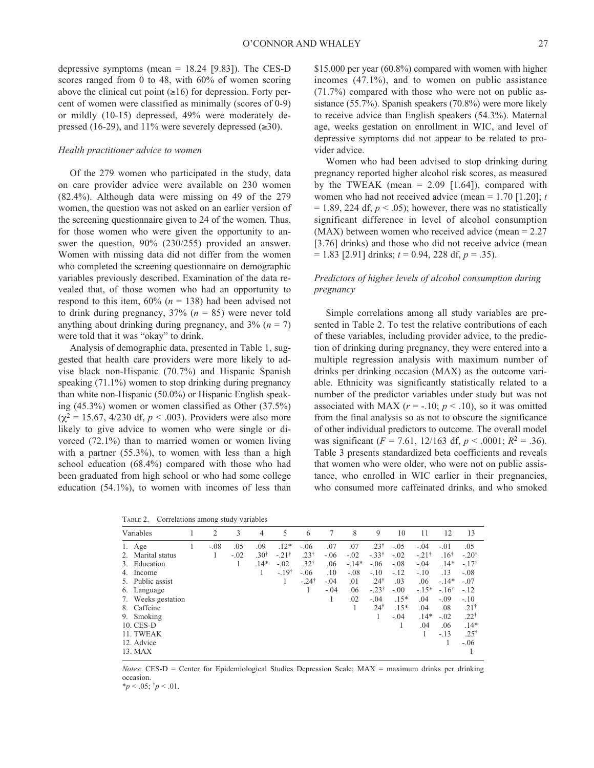depressive symptoms (mean  $= 18.24$  [9.83]). The CES-D scores ranged from 0 to 48, with 60% of women scoring above the clinical cut point  $(\geq 16)$  for depression. Forty percent of women were classified as minimally (scores of 0-9) or mildly (10-15) depressed, 49% were moderately depressed (16-29), and 11% were severely depressed  $(\geq 30)$ .

#### *Health practitioner advice to women*

Of the 279 women who participated in the study, data on care provider advice were available on 230 women (82.4%). Although data were missing on 49 of the 279 women, the question was not asked on an earlier version of the screening questionnaire given to 24 of the women. Thus, for those women who were given the opportunity to answer the question, 90% (230/255) provided an answer. Women with missing data did not differ from the women who completed the screening questionnaire on demographic variables previously described. Examination of the data revealed that, of those women who had an opportunity to respond to this item, 60% (*n* = 138) had been advised not to drink during pregnancy,  $37\%$  ( $n = 85$ ) were never told anything about drinking during pregnancy, and 3% (*n* = 7) were told that it was "okay" to drink.

Analysis of demographic data, presented in Table 1, suggested that health care providers were more likely to advise black non-Hispanic (70.7%) and Hispanic Spanish speaking (71.1%) women to stop drinking during pregnancy than white non-Hispanic (50.0%) or Hispanic English speaking (45.3%) women or women classified as Other (37.5%)  $(\chi^2 = 15.67, 4/230 \text{ df}, p < .003)$ . Providers were also more likely to give advice to women who were single or divorced (72.1%) than to married women or women living with a partner (55.3%), to women with less than a high school education (68.4%) compared with those who had been graduated from high school or who had some college education (54.1%), to women with incomes of less than

\$15,000 per year (60.8%) compared with women with higher incomes (47.1%), and to women on public assistance (71.7%) compared with those who were not on public assistance (55.7%). Spanish speakers (70.8%) were more likely to receive advice than English speakers (54.3%). Maternal age, weeks gestation on enrollment in WIC, and level of depressive symptoms did not appear to be related to provider advice.

Women who had been advised to stop drinking during pregnancy reported higher alcohol risk scores, as measured by the TWEAK (mean  $= 2.09$  [1.64]), compared with women who had not received advice (mean = 1.70 [1.20]; *t*  $= 1.89$ , 224 df,  $p < .05$ ); however, there was no statistically significant difference in level of alcohol consumption  $(MAX)$  between women who received advice (mean = 2.27) [3.76] drinks) and those who did not receive advice (mean = 1.83 [2.91] drinks; *t* = 0.94, 228 df, *p* = .35).

## *Predictors of higher levels of alcohol consumption during pregnancy*

Simple correlations among all study variables are presented in Table 2. To test the relative contributions of each of these variables, including provider advice, to the prediction of drinking during pregnancy, they were entered into a multiple regression analysis with maximum number of drinks per drinking occasion (MAX) as the outcome variable. Ethnicity was significantly statistically related to a number of the predictor variables under study but was not associated with MAX  $(r = 0.10; p < 0.10)$ , so it was omitted from the final analysis so as not to obscure the significance of other individual predictors to outcome. The overall model was significant (*F* = 7.61, 12/163 df, *p* < .0001; *R*<sup>2</sup> = .36). Table 3 presents standardized beta coefficients and reveals that women who were older, who were not on public assistance, who enrolled in WIC earlier in their pregnancies, who consumed more caffeinated drinks, and who smoked

|    | Variables          | 2      | 3      | 4                | 5                | 6                | 7      | 8       | 9                | 10     | 11               | 12               | 13               |
|----|--------------------|--------|--------|------------------|------------------|------------------|--------|---------|------------------|--------|------------------|------------------|------------------|
|    | 1. Age             | $-.08$ | .05    | .09              | $.12*$           | $-.06$           | .07    | .07     | $.23^+$          | $-.05$ | $-.04$           | $-.01$           | .05              |
|    | 2. Marital status  |        | $-.02$ | .30 <sup>†</sup> | $-.21^{\dagger}$ | .23 <sup>†</sup> | $-.06$ | $-.02$  | $-.33^{\dagger}$ | $-.02$ | $-.21^{\dagger}$ | $.16^{\dagger}$  | $-.20^{\dagger}$ |
|    | 3. Education       |        |        | $.14*$           | $-.02$           | $.32^{\dagger}$  | .06    | $-.14*$ | $-.06$           | $-.08$ | $-.04$           | $.14*$           | $-.17^{\dagger}$ |
| 4. | Income             |        |        |                  | $-.19^{\dagger}$ | $-.06$           | .10    | $-.08$  | $-.10$           | $-.12$ | $-.10$           | .13              | $-.08$           |
|    | 5. Public assist   |        |        |                  |                  | $-.24^{\dagger}$ | $-.04$ | .01     | $.24^{\dagger}$  | .03    | .06              | $-.14*$          | $-.07$           |
|    | 6. Language        |        |        |                  |                  |                  | $-.04$ | .06     | $-.23^{\dagger}$ | $-.00$ | $-.15*$          | $-.16^{\dagger}$ | $-.12$           |
|    | 7. Weeks gestation |        |        |                  |                  |                  |        | .02     | $-.04$           | $.15*$ | .04              | $-.09$           | $-.10$           |
|    | 8. Caffeine        |        |        |                  |                  |                  |        | 1       | .24 <sup>†</sup> | $.15*$ | .04              | .08              | $.21^{\dagger}$  |
|    | 9. Smoking         |        |        |                  |                  |                  |        |         | 1                | $-.04$ | $.14*$           | $-.02$           | $.22^+$          |
|    | 10. CES-D          |        |        |                  |                  |                  |        |         |                  |        | .04              | .06              | $.14*$           |
|    | 11. TWEAK          |        |        |                  |                  |                  |        |         |                  |        |                  | $-.13$           | $.25^{\dagger}$  |
|    | 12. Advice         |        |        |                  |                  |                  |        |         |                  |        |                  | 1                | $-.06$           |
|    | 13. MAX            |        |        |                  |                  |                  |        |         |                  |        |                  |                  |                  |

*Notes*: CES-D = Center for Epidemiological Studies Depression Scale; MAX = maximum drinks per drinking occasion.

 $*_{p}$  < .05;  $\dagger_{p}$  < .01.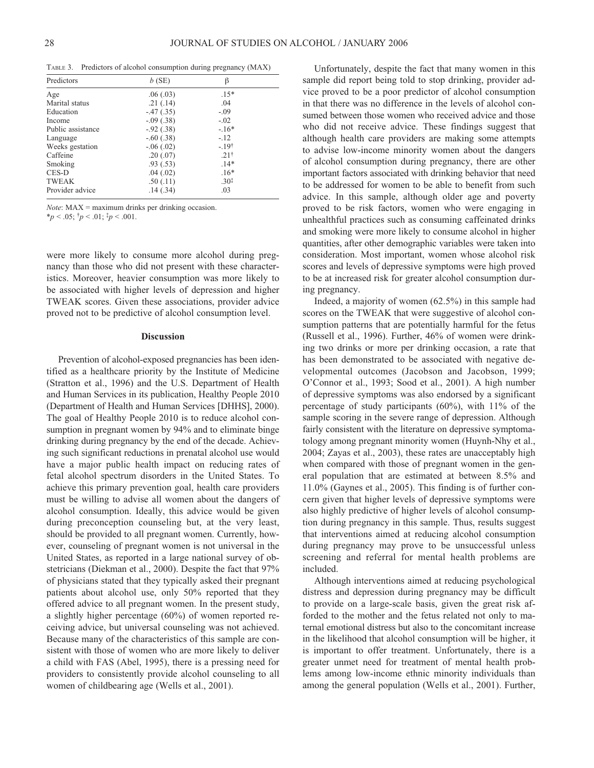TABLE 3. Predictors of alcohol consumption during pregnancy (MAX)

| Predictors        | b(SE)       | β                |  |
|-------------------|-------------|------------------|--|
| Age               | .06(0.03)   | $.15*$           |  |
| Marital status    | .21(.14)    | .04              |  |
| Education         | $-.47(.35)$ | $-.09$           |  |
| Income            | $-.09(.38)$ | $-.02$           |  |
| Public assistance | $-.92(.38)$ | $-.16*$          |  |
| Language          | $-.60(.38)$ | $-.12$           |  |
| Weeks gestation   | $-.06(.02)$ | $-.19^{\dagger}$ |  |
| Caffeine          | .20(.07)    | $.21^{\dagger}$  |  |
| Smoking           | .93(0.53)   | $.14*$           |  |
| CES-D             | .04(0.02)   | $.16*$           |  |
| <b>TWEAK</b>      | .50(.11)    | $.30^{1}$        |  |
| Provider advice   | .14(.34)    | .03              |  |

*Note*: MAX = maximum drinks per drinking occasion.  $*_{p}$  < .05;  $^{\dagger}p$  < .01;  $^{\dagger}p$  < .001.

were more likely to consume more alcohol during pregnancy than those who did not present with these characteristics. Moreover, heavier consumption was more likely to be associated with higher levels of depression and higher TWEAK scores. Given these associations, provider advice proved not to be predictive of alcohol consumption level.

## **Discussion**

Prevention of alcohol-exposed pregnancies has been identified as a healthcare priority by the Institute of Medicine (Stratton et al., 1996) and the U.S. Department of Health and Human Services in its publication, Healthy People 2010 (Department of Health and Human Services [DHHS], 2000). The goal of Healthy People 2010 is to reduce alcohol consumption in pregnant women by 94% and to eliminate binge drinking during pregnancy by the end of the decade. Achieving such significant reductions in prenatal alcohol use would have a major public health impact on reducing rates of fetal alcohol spectrum disorders in the United States. To achieve this primary prevention goal, health care providers must be willing to advise all women about the dangers of alcohol consumption. Ideally, this advice would be given during preconception counseling but, at the very least, should be provided to all pregnant women. Currently, however, counseling of pregnant women is not universal in the United States, as reported in a large national survey of obstetricians (Diekman et al., 2000). Despite the fact that 97% of physicians stated that they typically asked their pregnant patients about alcohol use, only 50% reported that they offered advice to all pregnant women. In the present study, a slightly higher percentage (60%) of women reported receiving advice, but universal counseling was not achieved. Because many of the characteristics of this sample are consistent with those of women who are more likely to deliver a child with FAS (Abel, 1995), there is a pressing need for providers to consistently provide alcohol counseling to all women of childbearing age (Wells et al., 2001).

Unfortunately, despite the fact that many women in this sample did report being told to stop drinking, provider advice proved to be a poor predictor of alcohol consumption in that there was no difference in the levels of alcohol consumed between those women who received advice and those who did not receive advice. These findings suggest that although health care providers are making some attempts to advise low-income minority women about the dangers of alcohol consumption during pregnancy, there are other important factors associated with drinking behavior that need to be addressed for women to be able to benefit from such advice. In this sample, although older age and poverty proved to be risk factors, women who were engaging in unhealthful practices such as consuming caffeinated drinks and smoking were more likely to consume alcohol in higher quantities, after other demographic variables were taken into consideration. Most important, women whose alcohol risk scores and levels of depressive symptoms were high proved to be at increased risk for greater alcohol consumption during pregnancy.

Indeed, a majority of women (62.5%) in this sample had scores on the TWEAK that were suggestive of alcohol consumption patterns that are potentially harmful for the fetus (Russell et al., 1996). Further, 46% of women were drinking two drinks or more per drinking occasion, a rate that has been demonstrated to be associated with negative developmental outcomes (Jacobson and Jacobson, 1999; O'Connor et al., 1993; Sood et al., 2001). A high number of depressive symptoms was also endorsed by a significant percentage of study participants (60%), with 11% of the sample scoring in the severe range of depression. Although fairly consistent with the literature on depressive symptomatology among pregnant minority women (Huynh-Nhy et al., 2004; Zayas et al., 2003), these rates are unacceptably high when compared with those of pregnant women in the general population that are estimated at between 8.5% and 11.0% (Gaynes et al., 2005). This finding is of further concern given that higher levels of depressive symptoms were also highly predictive of higher levels of alcohol consumption during pregnancy in this sample. Thus, results suggest that interventions aimed at reducing alcohol consumption during pregnancy may prove to be unsuccessful unless screening and referral for mental health problems are included.

Although interventions aimed at reducing psychological distress and depression during pregnancy may be difficult to provide on a large-scale basis, given the great risk afforded to the mother and the fetus related not only to maternal emotional distress but also to the concomitant increase in the likelihood that alcohol consumption will be higher, it is important to offer treatment. Unfortunately, there is a greater unmet need for treatment of mental health problems among low-income ethnic minority individuals than among the general population (Wells et al., 2001). Further,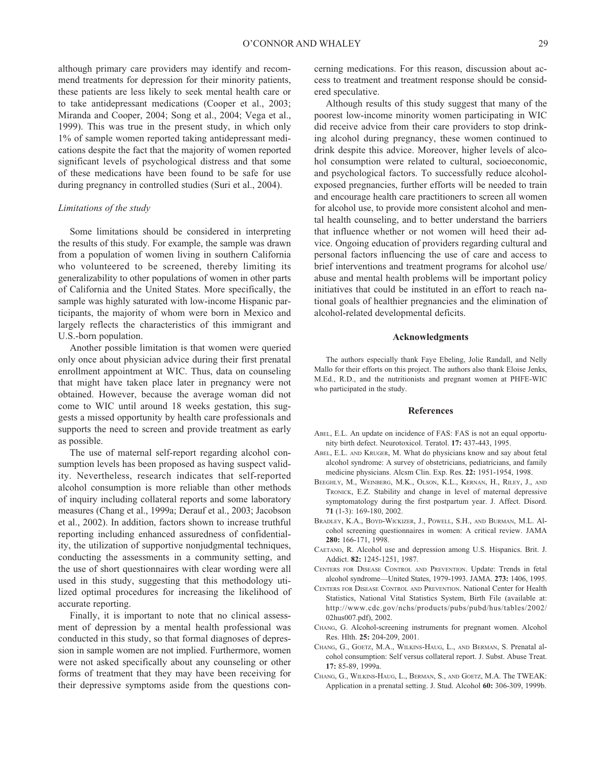although primary care providers may identify and recommend treatments for depression for their minority patients, these patients are less likely to seek mental health care or to take antidepressant medications (Cooper et al., 2003; Miranda and Cooper, 2004; Song et al., 2004; Vega et al., 1999). This was true in the present study, in which only 1% of sample women reported taking antidepressant medications despite the fact that the majority of women reported significant levels of psychological distress and that some of these medications have been found to be safe for use during pregnancy in controlled studies (Suri et al., 2004).

#### *Limitations of the study*

Some limitations should be considered in interpreting the results of this study. For example, the sample was drawn from a population of women living in southern California who volunteered to be screened, thereby limiting its generalizability to other populations of women in other parts of California and the United States. More specifically, the sample was highly saturated with low-income Hispanic participants, the majority of whom were born in Mexico and largely reflects the characteristics of this immigrant and U.S.-born population.

Another possible limitation is that women were queried only once about physician advice during their first prenatal enrollment appointment at WIC. Thus, data on counseling that might have taken place later in pregnancy were not obtained. However, because the average woman did not come to WIC until around 18 weeks gestation, this suggests a missed opportunity by health care professionals and supports the need to screen and provide treatment as early as possible.

The use of maternal self-report regarding alcohol consumption levels has been proposed as having suspect validity. Nevertheless, research indicates that self-reported alcohol consumption is more reliable than other methods of inquiry including collateral reports and some laboratory measures (Chang et al., 1999a; Derauf et al., 2003; Jacobson et al., 2002). In addition, factors shown to increase truthful reporting including enhanced assuredness of confidentiality, the utilization of supportive nonjudgmental techniques, conducting the assessments in a community setting, and the use of short questionnaires with clear wording were all used in this study, suggesting that this methodology utilized optimal procedures for increasing the likelihood of accurate reporting.

Finally, it is important to note that no clinical assessment of depression by a mental health professional was conducted in this study, so that formal diagnoses of depression in sample women are not implied. Furthermore, women were not asked specifically about any counseling or other forms of treatment that they may have been receiving for their depressive symptoms aside from the questions concerning medications. For this reason, discussion about access to treatment and treatment response should be considered speculative.

Although results of this study suggest that many of the poorest low-income minority women participating in WIC did receive advice from their care providers to stop drinking alcohol during pregnancy, these women continued to drink despite this advice. Moreover, higher levels of alcohol consumption were related to cultural, socioeconomic, and psychological factors. To successfully reduce alcoholexposed pregnancies, further efforts will be needed to train and encourage health care practitioners to screen all women for alcohol use, to provide more consistent alcohol and mental health counseling, and to better understand the barriers that influence whether or not women will heed their advice. Ongoing education of providers regarding cultural and personal factors influencing the use of care and access to brief interventions and treatment programs for alcohol use/ abuse and mental health problems will be important policy initiatives that could be instituted in an effort to reach national goals of healthier pregnancies and the elimination of alcohol-related developmental deficits.

#### **Acknowledgments**

The authors especially thank Faye Ebeling, Jolie Randall, and Nelly Mallo for their efforts on this project. The authors also thank Eloise Jenks, M.Ed., R.D., and the nutritionists and pregnant women at PHFE-WIC who participated in the study.

#### **References**

- ABEL, E.L. An update on incidence of FAS: FAS is not an equal opportunity birth defect. Neurotoxicol. Teratol. **17:** 437-443, 1995.
- ABEL, E.L. AND KRUGER, M. What do physicians know and say about fetal alcohol syndrome: A survey of obstetricians, pediatricians, and family medicine physicians. Alcsm Clin. Exp. Res. **22:** 1951-1954, 1998.
- BEEGHLY, M., WEINBERG, M.K., OLSON, K.L., KERNAN, H., RILEY, J., AND TRONICK, E.Z. Stability and change in level of maternal depressive symptomatology during the first postpartum year. J. Affect. Disord. **71** (1-3): 169-180, 2002.
- BRADLEY, K.A., BOYD-WICKIZER, J., POWELL, S.H., AND BURMAN, M.L. Alcohol screening questionnaires in women: A critical review. JAMA **280:** 166-171, 1998.
- CAETANO, R. Alcohol use and depression among U.S. Hispanics. Brit. J. Addict. **82:** 1245-1251, 1987.
- CENTERS FOR DISEASE CONTROL AND PREVENTION. Update: Trends in fetal alcohol syndrome—United States, 1979-1993. JAMA. **273:** 1406, 1995.
- CENTERS FOR DISEASE CONTROL AND PREVENTION. National Center for Health Statistics, National Vital Statistics System, Birth File (available at: http://www.cdc.gov/nchs/products/pubs/pubd/hus/tables/2002/ 02hus007.pdf), 2002.
- CHANG, G. Alcohol-screening instruments for pregnant women. Alcohol Res. Hlth. **25:** 204-209, 2001.
- CHANG, G., GOETZ, M.A., WILKINS-HAUG, L., AND BERMAN, S. Prenatal alcohol consumption: Self versus collateral report. J. Subst. Abuse Treat. **17:** 85-89, 1999a.
- CHANG, G., WILKINS-HAUG, L., BERMAN, S., AND GOETZ, M.A. The TWEAK: Application in a prenatal setting. J. Stud. Alcohol **60:** 306-309, 1999b.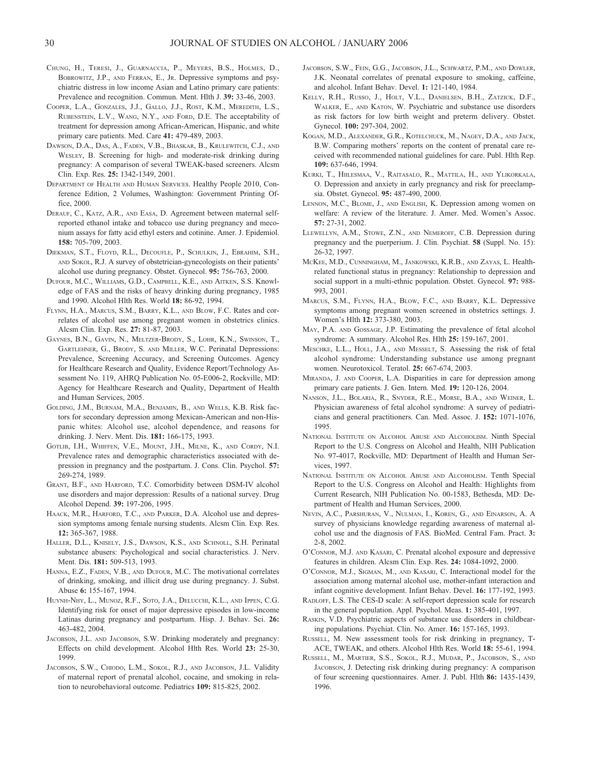- CHUNG, H., TERESI, J., GUARNACCIA, P., MEYERS, B.S., HOLMES, D., BOBROWITZ, J.P., AND FERRAN, E., JR. Depressive symptoms and psychiatric distress in low income Asian and Latino primary care patients: Prevalence and recognition. Commun. Ment. Hlth J. **39:** 33-46, 2003.
- COOPER, L.A., GONZALES, J.J., GALLO, J.J., ROST, K.M., MEREDITH, L.S., RUBENSTEIN, L.V., WANG, N.Y., AND FORD, D.E. The acceptability of treatment for depression among African-American, Hispanic, and white primary care patients. Med. Care **41:** 479-489, 2003.
- DAWSON, D.A., DAS, A., FADEN, V.B., BHASKAR, B., KRULEWITCH, C.J., AND WESLEY, B. Screening for high- and moderate-risk drinking during pregnancy: A comparison of several TWEAK-based screeners. Alcsm Clin. Exp. Res. **25:** 1342-1349, 2001.
- DEPARTMENT OF HEALTH AND HUMAN SERVICES. Healthy People 2010, Conference Edition, 2 Volumes, Washington: Government Printing Office, 2000.
- DERAUF, C., KATZ, A.R., AND EASA, D. Agreement between maternal selfreported ethanol intake and tobacco use during pregnancy and meconium assays for fatty acid ethyl esters and cotinine. Amer. J. Epidemiol. **158:** 705-709, 2003.
- DIEKMAN, S.T., FLOYD, R.L., DECOUFLE, P., SCHULKIN, J., EBRAHIM, S.H., AND SOKOL, R.J. A survey of obstetrician-gynecologists on their patients' alcohol use during pregnancy. Obstet. Gynecol. **95:** 756-763, 2000.
- DUFOUR, M.C., WILLIAMS, G.D., CAMPBELL, K.E., AND AITKEN, S.S. Knowledge of FAS and the risks of heavy drinking during pregnancy, 1985 and 1990. Alcohol Hlth Res. World **18:** 86-92, 1994.
- FLYNN, H.A., MARCUS, S.M., BARRY, K.L., AND BLOW, F.C. Rates and correlates of alcohol use among pregnant women in obstetrics clinics. Alcsm Clin. Exp. Res. **27:** 81-87, 2003.
- GAYNES, B.N., GAVIN, N., MELTZER-BRODY, S., LOHR, K.N., SWINSON, T., GARTLEHNER, G., BRODY, S. AND MILLER, W.C. Perinatal Depressions: Prevalence, Screening Accuracy, and Screening Outcomes. Agency for Healthcare Research and Quality, Evidence Report/Technology Assessment No. 119, AHRQ Publication No. 05-E006-2, Rockville, MD: Agency for Healthcare Research and Quality, Department of Health and Human Services, 2005.
- GOLDING, J.M., BURNAM, M.A., BENJAMIN, B., AND WELLS, K.B. Risk factors for secondary depression among Mexican-American and non-Hispanic whites: Alcohol use, alcohol dependence, and reasons for drinking. J. Nerv. Ment. Dis. **181:** 166-175, 1993.
- GOTLIB, I.H., WHIFFEN, V.E., MOUNT, J.H., MILNE, K., AND CORDY, N.I. Prevalence rates and demographic characteristics associated with depression in pregnancy and the postpartum. J. Cons. Clin. Psychol. **57:** 269-274, 1989.
- GRANT, B.F., AND HARFORD, T.C. Comorbidity between DSM-IV alcohol use disorders and major depression: Results of a national survey. Drug Alcohol Depend. **39:** 197-206, 1995.
- HAACK, M.R., HARFORD, T.C., AND PARKER, D.A. Alcohol use and depression symptoms among female nursing students. Alcsm Clin. Exp. Res. **12:** 365-367, 1988.
- HALLER, D.L., KNISELY, J.S., DAWSON, K.S., AND SCHNOLL, S.H. Perinatal substance abusers: Psychological and social characteristics. J. Nerv. Ment. Dis. **181:** 509-513, 1993.
- HANNA, E.Z., FADEN, V.B., AND DUFOUR, M.C. The motivational correlates of drinking, smoking, and illicit drug use during pregnancy. J. Subst. Abuse **6:** 155-167, 1994.
- HUYNH-NHY, L., MUNOZ, R.F., SOTO, J.A., DELUCCHI, K.L., AND IPPEN, C.G. Identifying risk for onset of major depressive episodes in low-income Latinas during pregnancy and postpartum. Hisp. J. Behav. Sci. **26:** 463-482, 2004.
- JACOBSON, J.L. AND JACOBSON, S.W. Drinking moderately and pregnancy: Effects on child development. Alcohol Hlth Res. World **23:** 25-30, 1999.
- JACOBSON, S.W., CHIODO, L.M., SOKOL, R.J., AND JACOBSON, J.L. Validity of maternal report of prenatal alcohol, cocaine, and smoking in relation to neurobehavioral outcome. Pediatrics **109:** 815-825, 2002.
- JACOBSON, S.W., FEIN, G.G., JACOBSON, J.L., SCHWARTZ, P.M., AND DOWLER, J.K. Neonatal correlates of prenatal exposure to smoking, caffeine, and alcohol. Infant Behav. Devel. **1:** 121-140, 1984.
- KELLY, R.H., RUSSO, J., HOLT, V.L., DANIELSEN, B.H., ZATZICK, D.F., WALKER, E., AND KATON, W. Psychiatric and substance use disorders as risk factors for low birth weight and preterm delivery. Obstet. Gynecol. **100:** 297-304, 2002.
- KOGAN, M.D., ALEXANDER, G.R., KOTELCHUCK, M., NAGEY, D.A., AND JACK, B.W. Comparing mothers' reports on the content of prenatal care received with recommended national guidelines for care. Publ. Hlth Rep. **109:** 637-646, 1994.
- KURKI, T., HIILESMAA, V., RAITASALO, R., MATTILA, H., AND YLIKORKALA, O. Depression and anxiety in early pregnancy and risk for preeclampsia. Obstet. Gynecol. **95:** 487-490, 2000.
- LENNON, M.C., BLOME, J., AND ENGLISH, K. Depression among women on welfare: A review of the literature. J. Amer. Med. Women's Assoc. **57:** 27-31, 2002.
- LLEWELLYN, A.M., STOWE, Z.N., AND NEMEROFF, C.B. Depression during pregnancy and the puerperium. J. Clin. Psychiat. **58** (Suppl. No. 15): 26-32, 1997.
- MCKEE, M.D., CUNNINGHAM, M., JANKOWSKI, K.R.B., AND ZAYAS, L. Healthrelated functional status in pregnancy: Relationship to depression and social support in a multi-ethnic population. Obstet. Gynecol. **97:** 988- 993, 2001.
- MARCUS, S.M., FLYNN, H.A., BLOW, F.C., AND BARRY, K.L. Depressive symptoms among pregnant women screened in obstetrics settings. J. Women's Hlth **12:** 373-380, 2003.
- MAY, P.A. AND GOSSAGE, J.P. Estimating the prevalence of fetal alcohol syndrome: A summary. Alcohol Res. Hlth **25:** 159-167, 2001.
- MESCHKE, L.L., HOLL, J.A., AND MESSELT, S. Assessing the risk of fetal alcohol syndrome: Understanding substance use among pregnant women. Neurotoxicol. Teratol. **25:** 667-674, 2003.
- MIRANDA, J. AND COOPER, L.A. Disparities in care for depression among primary care patients. J. Gen. Intern. Med. **19:** 120-126, 2004.
- NANSON, J.L., BOLARIA, R., SNYDER, R.E., MORSE, B.A., AND WEINER, L. Physician awareness of fetal alcohol syndrome: A survey of pediatricians and general practitioners. Can. Med. Assoc. J. **152:** 1071-1076, 1995.
- NATIONAL INSTITUTE ON ALCOHOL ABUSE AND ALCOHOLISM. Ninth Special Report to the U.S. Congress on Alcohol and Health, NIH Publication No. 97-4017, Rockville, MD: Department of Health and Human Services, 1997.
- NATIONAL INSTITUTE ON ALCOHOL ABUSE AND ALCOHOLISM. Tenth Special Report to the U.S. Congress on Alcohol and Health: Highlights from Current Research, NIH Publication No. 00-1583, Bethesda, MD: Department of Health and Human Services, 2000.
- NEVIN, A.C., PARSHURAN, V., NULMAN, I., KOREN, G., AND EINARSON, A. A survey of physicians knowledge regarding awareness of maternal alcohol use and the diagnosis of FAS. BioMed. Central Fam. Pract. **3:** 2-8, 2002.
- O'CONNOR, M.J. AND KASARI, C. Prenatal alcohol exposure and depressive features in children. Alcsm Clin. Exp. Res. **24:** 1084-1092, 2000.
- O'CONNOR, M.J., SIGMAN, M., AND KASARI, C. Interactional model for the association among maternal alcohol use, mother-infant interaction and infant cognitive development. Infant Behav. Devel. **16:** 177-192, 1993.
- RADLOFF, L.S. The CES-D scale: A self-report depression scale for research in the general population. Appl. Psychol. Meas. **1:** 385-401, 1997.
- RASKIN, V.D. Psychiatric aspects of substance use disorders in childbearing populations. Psychiat. Clin. No. Amer. **16:** 157-165, 1993.
- RUSSELL, M. New assessment tools for risk drinking in pregnancy, T-ACE, TWEAK, and others. Alcohol Hlth Res. World **18:** 55-61, 1994.
- RUSSELL, M., MARTIER, S.S., SOKOL, R.J., MUDAR, P., JACOBSON, S., AND JACOBSON, J. Detecting risk drinking during pregnancy: A comparison of four screening questionnaires. Amer. J. Publ. Hlth **86:** 1435-1439, 1996.